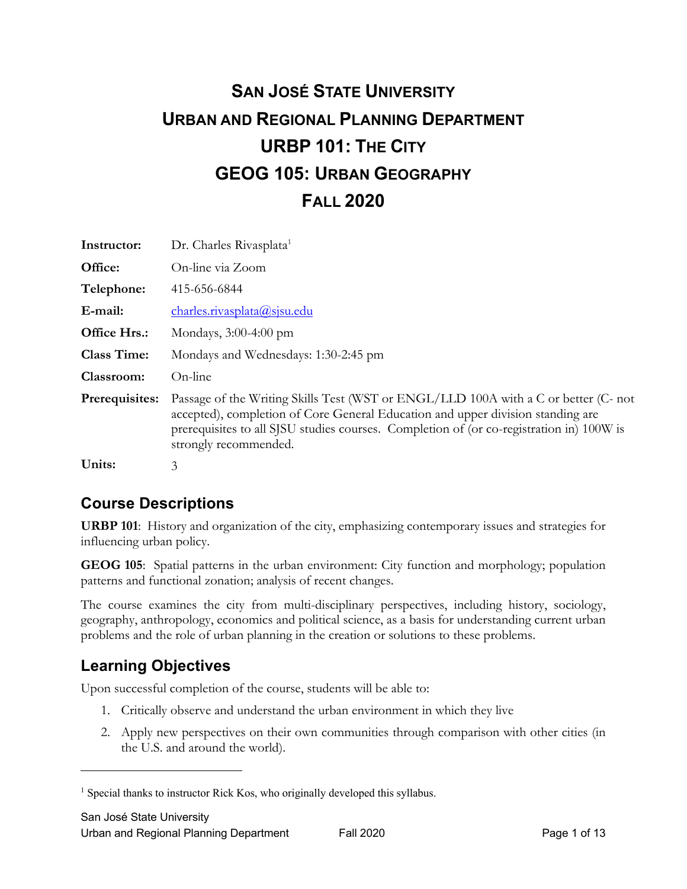# **SAN JOSÉ STATE UNIVERSITY URBAN AND REGIONAL PLANNING DEPARTMENT URBP 101: THE CITY GEOG 105: URBAN GEOGRAPHY FALL 2020**

| Instructor:        | Dr. Charles Rivasplata <sup>1</sup>                                                                                                                                                                                                                                                         |
|--------------------|---------------------------------------------------------------------------------------------------------------------------------------------------------------------------------------------------------------------------------------------------------------------------------------------|
| Office:            | On-line via Zoom                                                                                                                                                                                                                                                                            |
| Telephone:         | 415-656-6844                                                                                                                                                                                                                                                                                |
| E-mail:            | charles.rivasplata@sjsu.edu                                                                                                                                                                                                                                                                 |
| Office Hrs.:       | Mondays, 3:00-4:00 pm                                                                                                                                                                                                                                                                       |
| <b>Class Time:</b> | Mondays and Wednesdays: 1:30-2:45 pm                                                                                                                                                                                                                                                        |
| Classroom:         | On-line                                                                                                                                                                                                                                                                                     |
| Prerequisites:     | Passage of the Writing Skills Test (WST or ENGL/LLD 100A with a C or better (C- not<br>accepted), completion of Core General Education and upper division standing are<br>prerequisites to all SJSU studies courses. Completion of (or co-registration in) 100W is<br>strongly recommended. |
| Units:             | 3                                                                                                                                                                                                                                                                                           |

## **Course Descriptions**

**URBP 101**: History and organization of the city, emphasizing contemporary issues and strategies for influencing urban policy.

**GEOG 105**: Spatial patterns in the urban environment: City function and morphology; population patterns and functional zonation; analysis of recent changes.

The course examines the city from multi-disciplinary perspectives, including history, sociology, geography, anthropology, economics and political science, as a basis for understanding current urban problems and the role of urban planning in the creation or solutions to these problems.

## **Learning Objectives**

Upon successful completion of the course, students will be able to:

- 1. Critically observe and understand the urban environment in which they live
- 2. Apply new perspectives on their own communities through comparison with other cities (in the U.S. and around the world).

<sup>&</sup>lt;sup>1</sup> Special thanks to instructor Rick Kos, who originally developed this syllabus.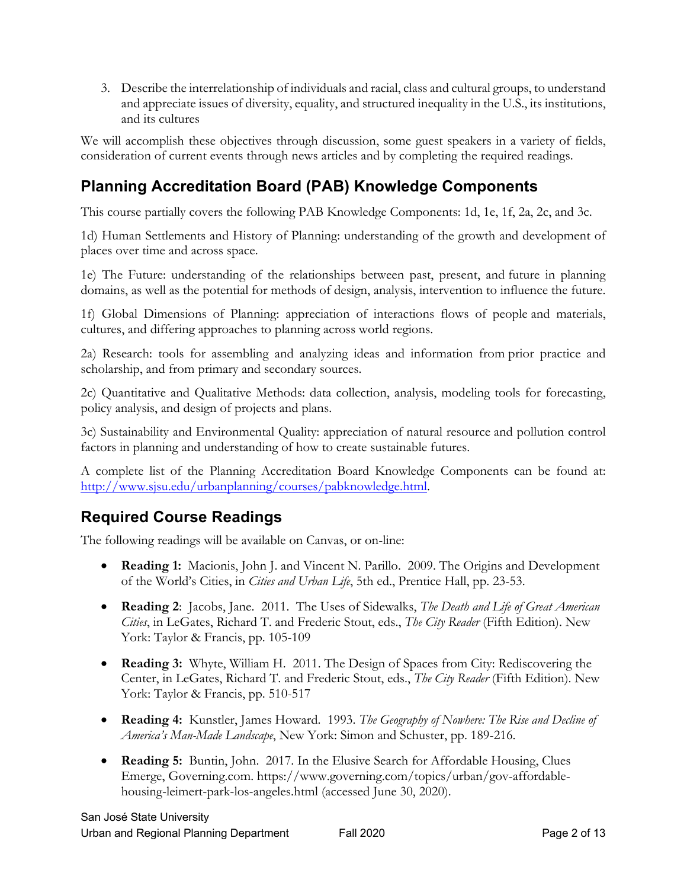3. Describe the interrelationship of individuals and racial, class and cultural groups, to understand and appreciate issues of diversity, equality, and structured inequality in the U.S., its institutions, and its cultures

We will accomplish these objectives through discussion, some guest speakers in a variety of fields, consideration of current events through news articles and by completing the required readings.

# **Planning Accreditation Board (PAB) Knowledge Components**

This course partially covers the following PAB Knowledge Components: 1d, 1e, 1f, 2a, 2c, and 3c.

1d) Human Settlements and History of Planning: understanding of the growth and development of places over time and across space.

1e) The Future: understanding of the relationships between past, present, and future in planning domains, as well as the potential for methods of design, analysis, intervention to influence the future.

1f) Global Dimensions of Planning: appreciation of interactions flows of people and materials, cultures, and differing approaches to planning across world regions.

2a) Research: tools for assembling and analyzing ideas and information from prior practice and scholarship, and from primary and secondary sources.

2c) Quantitative and Qualitative Methods: data collection, analysis, modeling tools for forecasting, policy analysis, and design of projects and plans.

3c) Sustainability and Environmental Quality: appreciation of natural resource and pollution control factors in planning and understanding of how to create sustainable futures.

A complete list of the Planning Accreditation Board Knowledge Components can be found at: http://www.sjsu.edu/urbanplanning/courses/pabknowledge.html.

## **Required Course Readings**

The following readings will be available on Canvas, or on-line:

- **Reading 1:** Macionis, John J. and Vincent N. Parillo. 2009. The Origins and Development of the World's Cities, in *Cities and Urban Life*, 5th ed., Prentice Hall, pp. 23-53.
- **Reading 2**: Jacobs, Jane. 2011. The Uses of Sidewalks, *The Death and Life of Great American Cities*, in LeGates, Richard T. and Frederic Stout, eds., *The City Reader* (Fifth Edition). New York: Taylor & Francis, pp. 105-109
- **Reading 3:** Whyte, William H. 2011. The Design of Spaces from City: Rediscovering the Center, in LeGates, Richard T. and Frederic Stout, eds., *The City Reader* (Fifth Edition). New York: Taylor & Francis, pp. 510-517
- **Reading 4:** Kunstler, James Howard. 1993. *The Geography of Nowhere: The Rise and Decline of America's Man-Made Landscape*, New York: Simon and Schuster, pp. 189-216.
- **Reading 5:** Buntin, John. 2017. In the Elusive Search for Affordable Housing, Clues Emerge, Governing.com. https://www.governing.com/topics/urban/gov-affordablehousing-leimert-park-los-angeles.html (accessed June 30, 2020).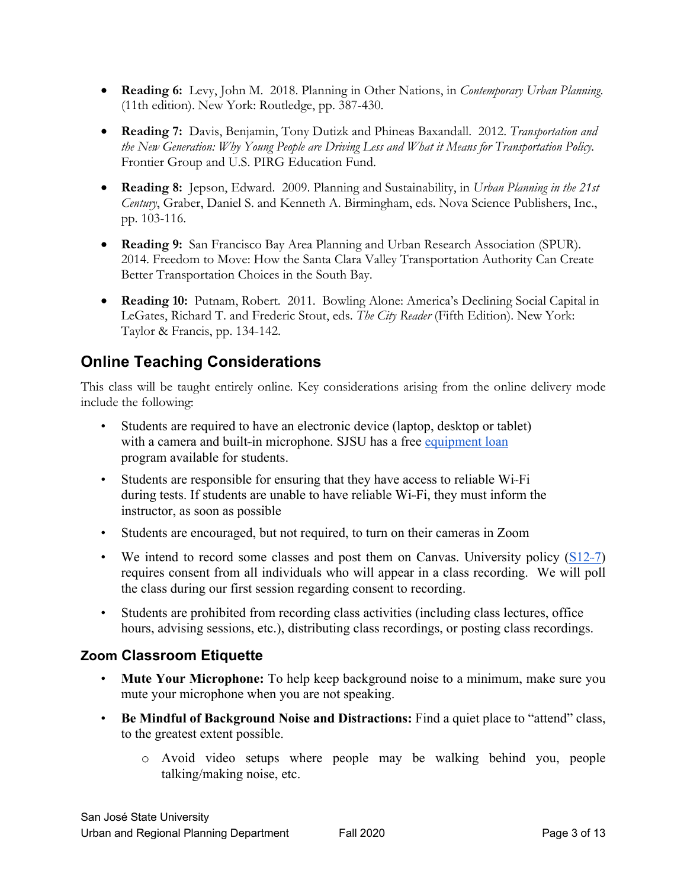- **Reading 6:** Levy, John M. 2018. Planning in Other Nations, in *Contemporary Urban Planning*. (11th edition). New York: Routledge, pp. 387-430.
- **Reading 7:** Davis, Benjamin, Tony Dutizk and Phineas Baxandall. 2012. *Transportation and the New Generation: Why Young People are Driving Less and What it Means for Transportation Policy.*  Frontier Group and U.S. PIRG Education Fund.
- **Reading 8:** Jepson, Edward. 2009. Planning and Sustainability, in *Urban Planning in the 21st Century*, Graber, Daniel S. and Kenneth A. Birmingham, eds. Nova Science Publishers, Inc., pp. 103-116.
- **Reading 9:** San Francisco Bay Area Planning and Urban Research Association (SPUR). 2014. Freedom to Move: How the Santa Clara Valley Transportation Authority Can Create Better Transportation Choices in the South Bay.
- **Reading 10:** Putnam, Robert. 2011. Bowling Alone: America's Declining Social Capital in LeGates, Richard T. and Frederic Stout, eds. *The City Reader* (Fifth Edition). New York: Taylor & Francis, pp. 134-142.

## **Online Teaching Considerations**

This class will be taught entirely online. Key considerations arising from the online delivery mode include the following:

- Students are required to have an electronic device (laptop, desktop or tablet) with a camera and built-in microphone. SJSU has a free equipment loan program available for students.
- Students are responsible for ensuring that they have access to reliable Wi-Fi during tests. If students are unable to have reliable Wi-Fi, they must inform the instructor, as soon as possible
- Students are encouraged, but not required, to turn on their cameras in Zoom
- We intend to record some classes and post them on Canvas. University policy  $(S12-7)$ requires consent from all individuals who will appear in a class recording. We will poll the class during our first session regarding consent to recording.
- Students are prohibited from recording class activities (including class lectures, office hours, advising sessions, etc.), distributing class recordings, or posting class recordings.

#### **Zoom Classroom Etiquette**

- **Mute Your Microphone:** To help keep background noise to a minimum, make sure you mute your microphone when you are not speaking.
- **Be Mindful of Background Noise and Distractions:** Find a quiet place to "attend" class, to the greatest extent possible.
	- o Avoid video setups where people may be walking behind you, people talking/making noise, etc.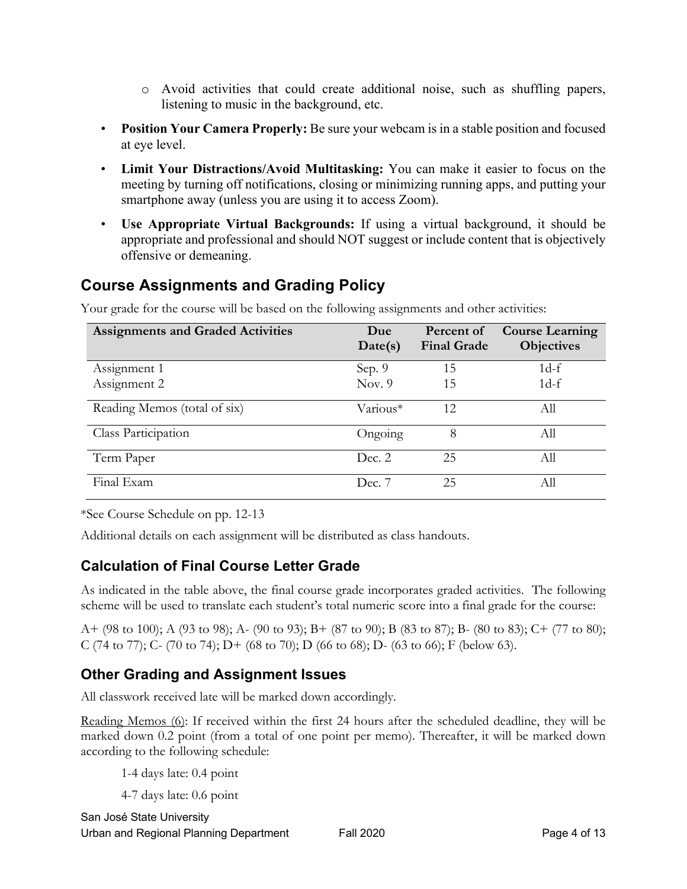- o Avoid activities that could create additional noise, such as shuffling papers, listening to music in the background, etc.
- **Position Your Camera Properly:** Be sure your webcam is in a stable position and focused at eye level.
- **Limit Your Distractions/Avoid Multitasking:** You can make it easier to focus on the meeting by turning off notifications, closing or minimizing running apps, and putting your smartphone away (unless you are using it to access Zoom).
- **Use Appropriate Virtual Backgrounds:** If using a virtual background, it should be appropriate and professional and should NOT suggest or include content that is objectively offensive or demeaning.

## **Course Assignments and Grading Policy**

| <b>Assignments and Graded Activities</b> | Due<br>Date(s) | Percent of<br><b>Final Grade</b> | <b>Course Learning</b><br><b>Objectives</b> |
|------------------------------------------|----------------|----------------------------------|---------------------------------------------|
| Assignment 1                             | Sep. 9         | 15                               | $1d-f$                                      |
| Assignment 2                             | Nov. $9$       | 15                               | $1d-f$                                      |
| Reading Memos (total of six)             | Various*       | 12                               | All                                         |
| Class Participation                      | Ongoing        | 8                                | All                                         |
| Term Paper                               | Dec. 2         | 25                               | Аll                                         |
| Final Exam                               | Dec. 7         | 25                               | All                                         |

Your grade for the course will be based on the following assignments and other activities:

\*See Course Schedule on pp. 12-13

Additional details on each assignment will be distributed as class handouts.

#### **Calculation of Final Course Letter Grade**

As indicated in the table above, the final course grade incorporates graded activities. The following scheme will be used to translate each student's total numeric score into a final grade for the course:

A+ (98 to 100); A (93 to 98); A- (90 to 93); B+ (87 to 90); B (83 to 87); B- (80 to 83); C+ (77 to 80); C (74 to 77); C- (70 to 74); D+ (68 to 70); D (66 to 68); D- (63 to 66); F (below 63).

#### **Other Grading and Assignment Issues**

All classwork received late will be marked down accordingly.

Reading Memos (6): If received within the first 24 hours after the scheduled deadline, they will be marked down 0.2 point (from a total of one point per memo). Thereafter, it will be marked down according to the following schedule:

1-4 days late: 0.4 point

4-7 days late: 0.6 point

San José State University Urban and Regional Planning Department Fall 2020 Fage 4 of 13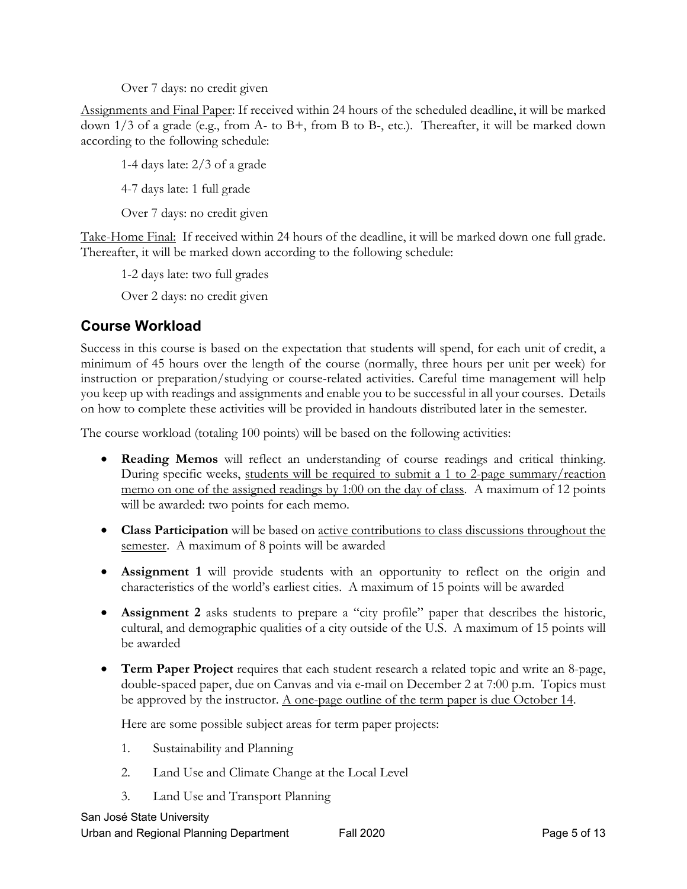Over 7 days: no credit given

Assignments and Final Paper: If received within 24 hours of the scheduled deadline, it will be marked down 1/3 of a grade (e.g., from A- to B+, from B to B-, etc.). Thereafter, it will be marked down according to the following schedule:

1-4 days late: 2/3 of a grade 4-7 days late: 1 full grade

Over 7 days: no credit given

Take-Home Final: If received within 24 hours of the deadline, it will be marked down one full grade. Thereafter, it will be marked down according to the following schedule:

1-2 days late: two full grades

Over 2 days: no credit given

#### **Course Workload**

Success in this course is based on the expectation that students will spend, for each unit of credit, a minimum of 45 hours over the length of the course (normally, three hours per unit per week) for instruction or preparation/studying or course-related activities. Careful time management will help you keep up with readings and assignments and enable you to be successful in all your courses. Details on how to complete these activities will be provided in handouts distributed later in the semester.

The course workload (totaling 100 points) will be based on the following activities:

- **Reading Memos** will reflect an understanding of course readings and critical thinking. During specific weeks, students will be required to submit a 1 to 2-page summary/reaction memo on one of the assigned readings by 1:00 on the day of class. A maximum of 12 points will be awarded: two points for each memo.
- **Class Participation** will be based on active contributions to class discussions throughout the semester. A maximum of 8 points will be awarded
- **Assignment 1** will provide students with an opportunity to reflect on the origin and characteristics of the world's earliest cities. A maximum of 15 points will be awarded
- **Assignment 2** asks students to prepare a "city profile" paper that describes the historic, cultural, and demographic qualities of a city outside of the U.S. A maximum of 15 points will be awarded
- **Term Paper Project** requires that each student research a related topic and write an 8-page, double-spaced paper, due on Canvas and via e-mail on December 2 at 7:00 p.m. Topics must be approved by the instructor. A one-page outline of the term paper is due October 14.

Here are some possible subject areas for term paper projects:

- 1. Sustainability and Planning
- 2. Land Use and Climate Change at the Local Level
- 3. Land Use and Transport Planning

San José State University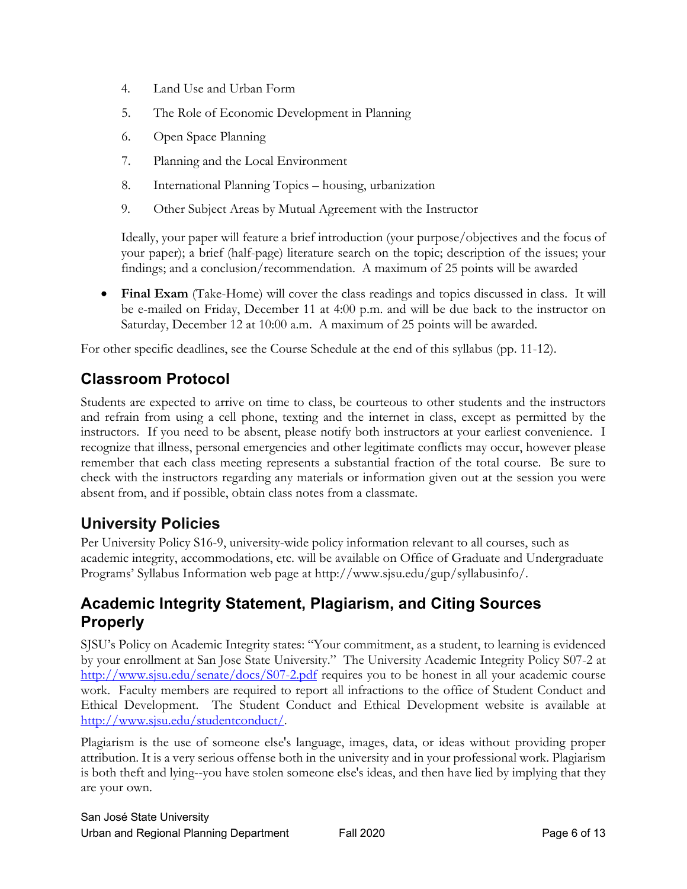- 4. Land Use and Urban Form
- 5. The Role of Economic Development in Planning
- 6. Open Space Planning
- 7. Planning and the Local Environment
- 8. International Planning Topics housing, urbanization
- 9. Other Subject Areas by Mutual Agreement with the Instructor

Ideally, your paper will feature a brief introduction (your purpose/objectives and the focus of your paper); a brief (half-page) literature search on the topic; description of the issues; your findings; and a conclusion/recommendation. A maximum of 25 points will be awarded

• **Final Exam** (Take-Home) will cover the class readings and topics discussed in class. It will be e-mailed on Friday, December 11 at 4:00 p.m. and will be due back to the instructor on Saturday, December 12 at 10:00 a.m. A maximum of 25 points will be awarded.

For other specific deadlines, see the Course Schedule at the end of this syllabus (pp. 11-12).

# **Classroom Protocol**

Students are expected to arrive on time to class, be courteous to other students and the instructors and refrain from using a cell phone, texting and the internet in class, except as permitted by the instructors. If you need to be absent, please notify both instructors at your earliest convenience. I recognize that illness, personal emergencies and other legitimate conflicts may occur, however please remember that each class meeting represents a substantial fraction of the total course. Be sure to check with the instructors regarding any materials or information given out at the session you were absent from, and if possible, obtain class notes from a classmate.

## **University Policies**

Per University Policy S16-9, university-wide policy information relevant to all courses, such as academic integrity, accommodations, etc. will be available on Office of Graduate and Undergraduate Programs' Syllabus Information web page at http://www.sjsu.edu/gup/syllabusinfo/.

### **Academic Integrity Statement, Plagiarism, and Citing Sources Properly**

SJSU's Policy on Academic Integrity states: "Your commitment, as a student, to learning is evidenced by your enrollment at San Jose State University." The University Academic Integrity Policy S07-2 at http://www.sjsu.edu/senate/docs/S07-2.pdf requires you to be honest in all your academic course work. Faculty members are required to report all infractions to the office of Student Conduct and Ethical Development. The Student Conduct and Ethical Development website is available at http://www.sjsu.edu/studentconduct/.

Plagiarism is the use of someone else's language, images, data, or ideas without providing proper attribution. It is a very serious offense both in the university and in your professional work. Plagiarism is both theft and lying--you have stolen someone else's ideas, and then have lied by implying that they are your own.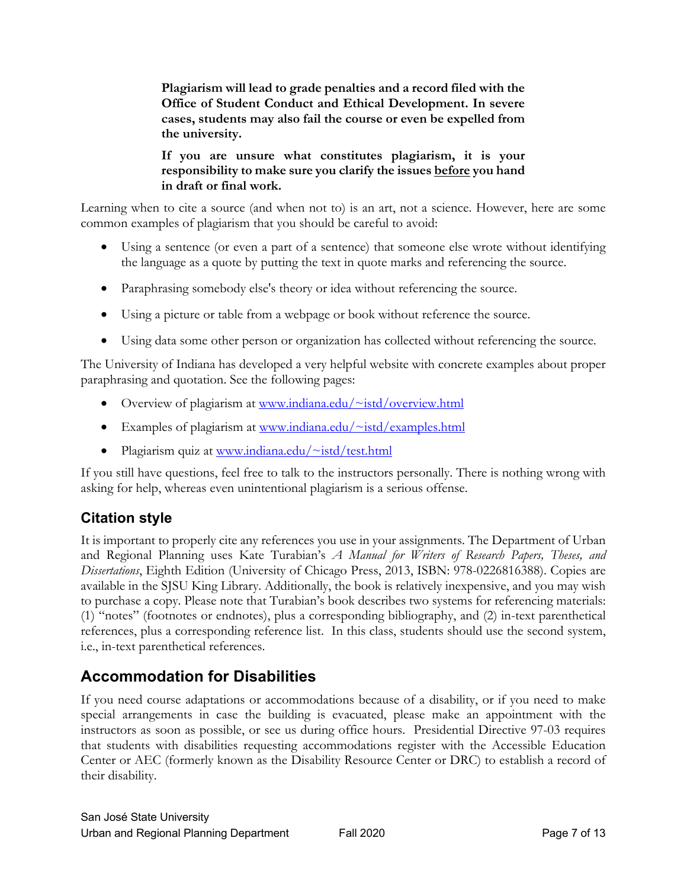**Plagiarism will lead to grade penalties and a record filed with the Office of Student Conduct and Ethical Development. In severe cases, students may also fail the course or even be expelled from the university.**

**If you are unsure what constitutes plagiarism, it is your responsibility to make sure you clarify the issues before you hand in draft or final work.**

Learning when to cite a source (and when not to) is an art, not a science. However, here are some common examples of plagiarism that you should be careful to avoid:

- Using a sentence (or even a part of a sentence) that someone else wrote without identifying the language as a quote by putting the text in quote marks and referencing the source.
- Paraphrasing somebody else's theory or idea without referencing the source.
- Using a picture or table from a webpage or book without reference the source.
- Using data some other person or organization has collected without referencing the source.

The University of Indiana has developed a very helpful website with concrete examples about proper paraphrasing and quotation. See the following pages:

- Overview of plagiarism at www.indiana.edu/~istd/overview.html
- Examples of plagiarism at www.indiana.edu/~istd/examples.html
- Plagiarism quiz at www.indiana.edu/~istd/test.html

If you still have questions, feel free to talk to the instructors personally. There is nothing wrong with asking for help, whereas even unintentional plagiarism is a serious offense.

### **Citation style**

It is important to properly cite any references you use in your assignments. The Department of Urban and Regional Planning uses Kate Turabian's *A Manual for Writers of Research Papers, Theses, and Dissertations*, Eighth Edition (University of Chicago Press, 2013, ISBN: 978-0226816388). Copies are available in the SJSU King Library. Additionally, the book is relatively inexpensive, and you may wish to purchase a copy. Please note that Turabian's book describes two systems for referencing materials: (1) "notes" (footnotes or endnotes), plus a corresponding bibliography, and (2) in-text parenthetical references, plus a corresponding reference list. In this class, students should use the second system, i.e., in-text parenthetical references.

## **Accommodation for Disabilities**

If you need course adaptations or accommodations because of a disability, or if you need to make special arrangements in case the building is evacuated, please make an appointment with the instructors as soon as possible, or see us during office hours. Presidential Directive 97-03 requires that students with disabilities requesting accommodations register with the Accessible Education Center or AEC (formerly known as the Disability Resource Center or DRC) to establish a record of their disability.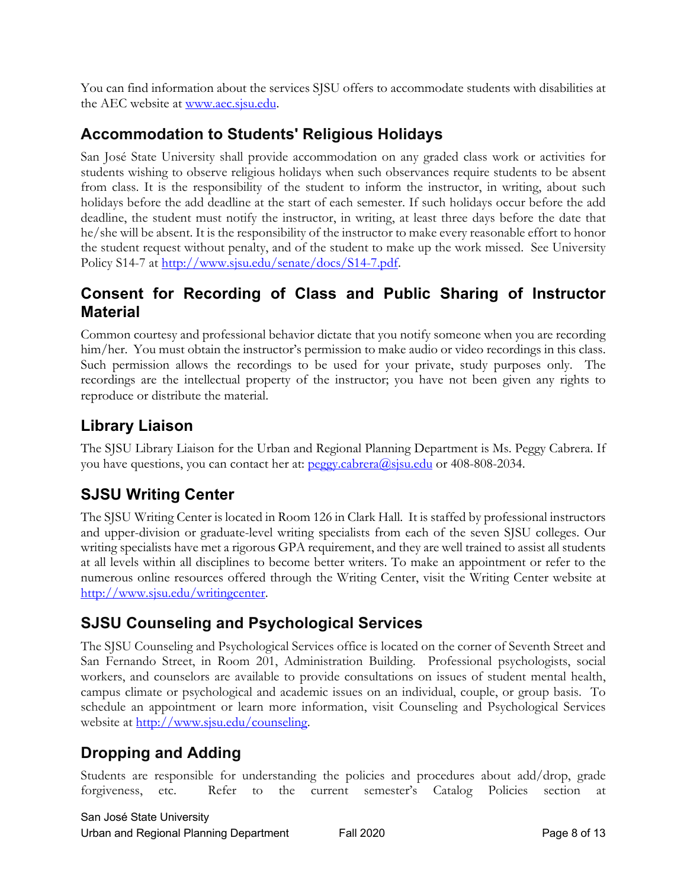You can find information about the services SJSU offers to accommodate students with disabilities at the AEC website at www.aec.sjsu.edu.

## **Accommodation to Students' Religious Holidays**

San José State University shall provide accommodation on any graded class work or activities for students wishing to observe religious holidays when such observances require students to be absent from class. It is the responsibility of the student to inform the instructor, in writing, about such holidays before the add deadline at the start of each semester. If such holidays occur before the add deadline, the student must notify the instructor, in writing, at least three days before the date that he/she will be absent. It is the responsibility of the instructor to make every reasonable effort to honor the student request without penalty, and of the student to make up the work missed. See University Policy S14-7 at http://www.sjsu.edu/senate/docs/S14-7.pdf.

## **Consent for Recording of Class and Public Sharing of Instructor Material**

Common courtesy and professional behavior dictate that you notify someone when you are recording him/her. You must obtain the instructor's permission to make audio or video recordings in this class. Such permission allows the recordings to be used for your private, study purposes only. The recordings are the intellectual property of the instructor; you have not been given any rights to reproduce or distribute the material.

## **Library Liaison**

The SJSU Library Liaison for the Urban and Regional Planning Department is Ms. Peggy Cabrera. If you have questions, you can contact her at: peggy.cabrera@sjsu.edu or 408-808-2034.

# **SJSU Writing Center**

The SJSU Writing Center is located in Room 126 in Clark Hall. It is staffed by professional instructors and upper-division or graduate-level writing specialists from each of the seven SJSU colleges. Our writing specialists have met a rigorous GPA requirement, and they are well trained to assist all students at all levels within all disciplines to become better writers. To make an appointment or refer to the numerous online resources offered through the Writing Center, visit the Writing Center website at http://www.sjsu.edu/writingcenter.

## **SJSU Counseling and Psychological Services**

The SJSU Counseling and Psychological Services office is located on the corner of Seventh Street and San Fernando Street, in Room 201, Administration Building. Professional psychologists, social workers, and counselors are available to provide consultations on issues of student mental health, campus climate or psychological and academic issues on an individual, couple, or group basis. To schedule an appointment or learn more information, visit Counseling and Psychological Services website at http://www.sjsu.edu/counseling.

## **Dropping and Adding**

Students are responsible for understanding the policies and procedures about add/drop, grade forgiveness, etc. Refer to the current semester's Catalog Policies section at

San José State University Urban and Regional Planning Department Fall 2020 **Fall 2020** Page 8 of 13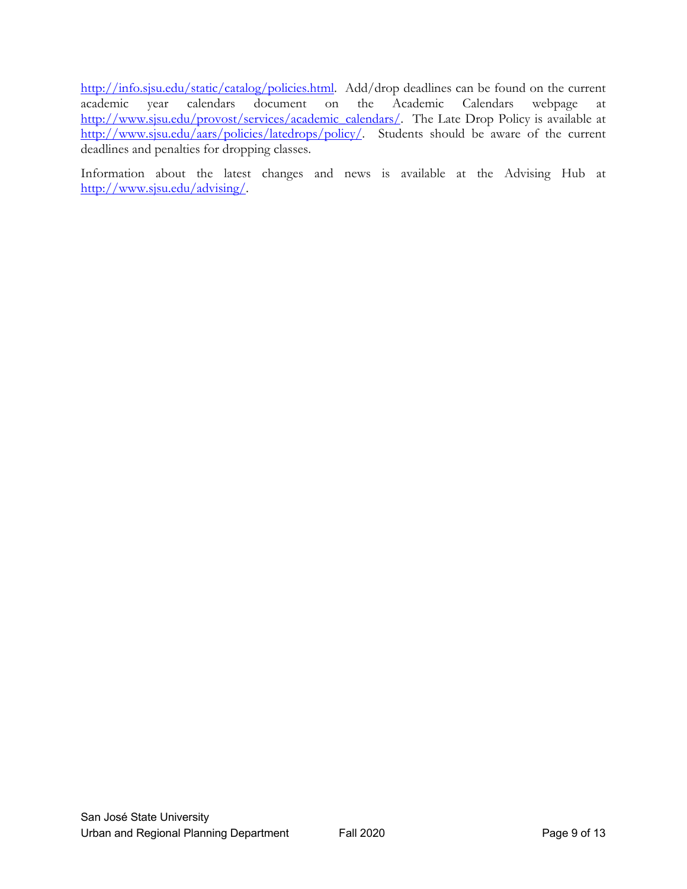http://info.sjsu.edu/static/catalog/policies.html. Add/drop deadlines can be found on the current academic year calendars document on the Academic Calendars webpage at http://www.sjsu.edu/provost/services/academic\_calendars/. The Late Drop Policy is available at http://www.sjsu.edu/aars/policies/latedrops/policy/. Students should be aware of the current deadlines and penalties for dropping classes.

Information about the latest changes and news is available at the Advising Hub at http://www.sjsu.edu/advising/.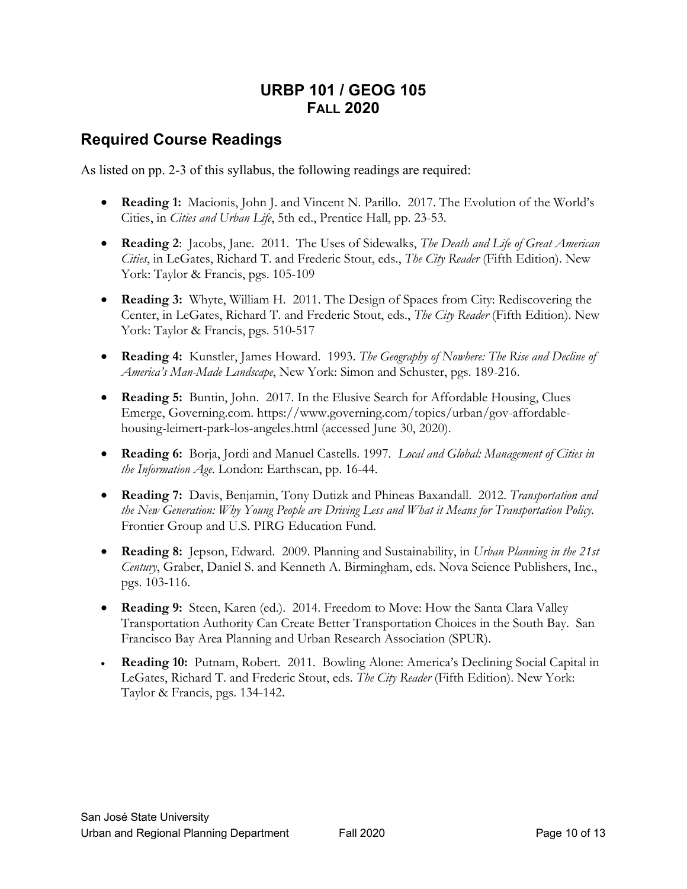## **URBP 101 / GEOG 105 FALL 2020**

#### **Required Course Readings**

As listed on pp. 2-3 of this syllabus, the following readings are required:

- **Reading 1:** Macionis, John J. and Vincent N. Parillo. 2017. The Evolution of the World's Cities, in *Cities and Urban Life*, 5th ed., Prentice Hall, pp. 23-53.
- **Reading 2**: Jacobs, Jane. 2011. The Uses of Sidewalks, *The Death and Life of Great American Cities*, in LeGates, Richard T. and Frederic Stout, eds., *The City Reader* (Fifth Edition). New York: Taylor & Francis, pgs. 105-109
- **Reading 3:** Whyte, William H. 2011. The Design of Spaces from City: Rediscovering the Center, in LeGates, Richard T. and Frederic Stout, eds., *The City Reader* (Fifth Edition). New York: Taylor & Francis, pgs. 510-517
- **Reading 4:** Kunstler, James Howard. 1993. *The Geography of Nowhere: The Rise and Decline of America's Man-Made Landscape*, New York: Simon and Schuster, pgs. 189-216.
- **Reading 5:** Buntin, John. 2017. In the Elusive Search for Affordable Housing, Clues Emerge, Governing.com. https://www.governing.com/topics/urban/gov-affordablehousing-leimert-park-los-angeles.html (accessed June 30, 2020).
- **Reading 6:** Borja, Jordi and Manuel Castells. 1997. *Local and Global: Management of Cities in the Information Age*. London: Earthscan, pp. 16-44.
- **Reading 7:** Davis, Benjamin, Tony Dutizk and Phineas Baxandall. 2012. *Transportation and the New Generation: Why Young People are Driving Less and What it Means for Transportation Policy.*  Frontier Group and U.S. PIRG Education Fund.
- **Reading 8:** Jepson, Edward. 2009. Planning and Sustainability, in *Urban Planning in the 21st Century*, Graber, Daniel S. and Kenneth A. Birmingham, eds. Nova Science Publishers, Inc., pgs. 103-116.
- **Reading 9:** Steen, Karen (ed.). 2014. Freedom to Move: How the Santa Clara Valley Transportation Authority Can Create Better Transportation Choices in the South Bay. San Francisco Bay Area Planning and Urban Research Association (SPUR).
- **Reading 10:** Putnam, Robert. 2011. Bowling Alone: America's Declining Social Capital in LeGates, Richard T. and Frederic Stout, eds. *The City Reader* (Fifth Edition). New York: Taylor & Francis, pgs. 134-142.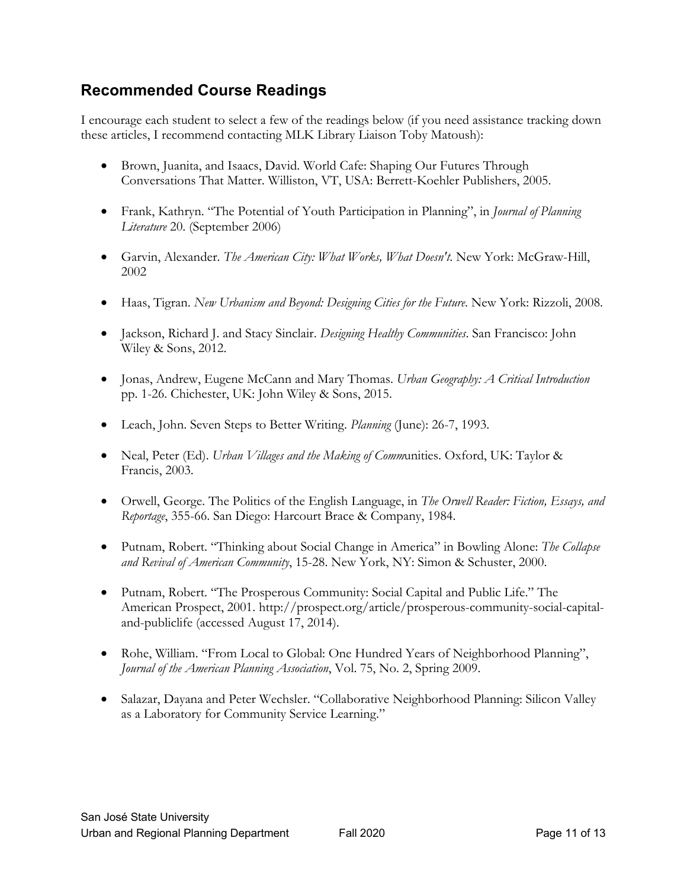## **Recommended Course Readings**

I encourage each student to select a few of the readings below (if you need assistance tracking down these articles, I recommend contacting MLK Library Liaison Toby Matoush):

- Brown, Juanita, and Isaacs, David. World Cafe: Shaping Our Futures Through Conversations That Matter. Williston, VT, USA: Berrett-Koehler Publishers, 2005.
- Frank, Kathryn. "The Potential of Youth Participation in Planning", in *Journal of Planning Literature* 20. (September 2006)
- Garvin, Alexander. *The American City: What Works, What Doesn't*. New York: McGraw-Hill, 2002
- Haas, Tigran. *New Urbanism and Beyond: Designing Cities for the Future*. New York: Rizzoli, 2008.
- Jackson, Richard J. and Stacy Sinclair. *Designing Healthy Communities*. San Francisco: John Wiley & Sons, 2012.
- Jonas, Andrew, Eugene McCann and Mary Thomas. *Urban Geography: A Critical Introduction* pp. 1-26. Chichester, UK: John Wiley & Sons, 2015.
- Leach, John. Seven Steps to Better Writing. *Planning* (June): 26-7, 1993.
- Neal, Peter (Ed). *Urban Villages and the Making of Comm*unities. Oxford, UK: Taylor & Francis, 2003.
- Orwell, George. The Politics of the English Language, in *The Orwell Reader: Fiction, Essays, and Reportage*, 355-66. San Diego: Harcourt Brace & Company, 1984.
- Putnam, Robert. "Thinking about Social Change in America" in Bowling Alone: *The Collapse and Revival of American Community*, 15-28. New York, NY: Simon & Schuster, 2000.
- Putnam, Robert. "The Prosperous Community: Social Capital and Public Life." The American Prospect, 2001. http://prospect.org/article/prosperous-community-social-capitaland-publiclife (accessed August 17, 2014).
- Rohe, William. "From Local to Global: One Hundred Years of Neighborhood Planning", *Journal of the American Planning Association*, Vol. 75, No. 2, Spring 2009.
- Salazar, Dayana and Peter Wechsler. "Collaborative Neighborhood Planning: Silicon Valley as a Laboratory for Community Service Learning."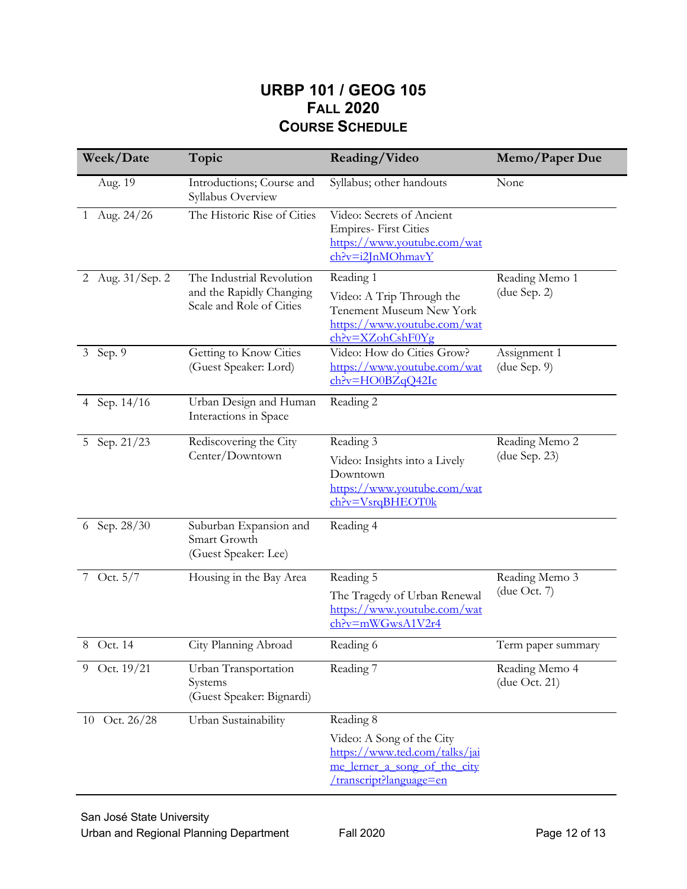### **URBP 101 / GEOG 105 FALL 2020 COURSE SCHEDULE**

| Week/Date                | Topic                                                                             | Reading/Video                                                                                                         | Memo/Paper Due                  |
|--------------------------|-----------------------------------------------------------------------------------|-----------------------------------------------------------------------------------------------------------------------|---------------------------------|
| Aug. 19                  | Introductions; Course and<br>Syllabus Overview                                    | Syllabus; other handouts                                                                                              | None                            |
| Aug. 24/26<br>1          | The Historic Rise of Cities                                                       | Video: Secrets of Ancient<br><b>Empires-First Cities</b><br>https://www.youtube.com/wat<br>$ch$ ?v=i2JnMOhmavY        |                                 |
| 2 Aug. 31/Sep. 2         | The Industrial Revolution<br>and the Rapidly Changing<br>Scale and Role of Cities | Reading 1                                                                                                             | Reading Memo 1                  |
|                          |                                                                                   | Video: A Trip Through the<br>Tenement Museum New York<br>https://www.youtube.com/wat<br>$ch?v=XZohCshF0Yg$            | (due Sep. 2)                    |
| 3 Sep. 9                 | Getting to Know Cities<br>(Guest Speaker: Lord)                                   | Video: How do Cities Grow?<br>https://www.youtube.com/wat<br>$ch$ ?v=HO0BZqQ42Ic                                      | Assignment 1<br>(due Sep. 9)    |
| 4 Sep. 14/16             | Urban Design and Human<br>Interactions in Space                                   | Reading 2                                                                                                             |                                 |
| Sep. $2\sqrt{1/23}$<br>5 | Rediscovering the City<br>Center/Downtown                                         | Reading 3                                                                                                             | Reading Memo 2                  |
|                          |                                                                                   | Video: Insights into a Lively<br>Downtown<br>https://www.youtube.com/wat<br>ch?v=VsrqBHEOT0k                          | (due Sep. 23)                   |
| 6 Sep. 28/30             | Suburban Expansion and<br>Smart Growth<br>(Guest Speaker: Lee)                    | Reading 4                                                                                                             |                                 |
| 7 Oct. 5/7               | Housing in the Bay Area                                                           | Reading 5                                                                                                             | Reading Memo 3                  |
|                          |                                                                                   | The Tragedy of Urban Renewal<br>https://www.youtube.com/wat<br>$ch$ ?v=mWGwsA1V2r4                                    | (due Oct. $7$ )                 |
| 8 Oct. 14                | City Planning Abroad                                                              | Reading 6                                                                                                             | Term paper summary              |
| 9 Oct. 19/21             | Urban Transportation<br>Systems<br>(Guest Speaker: Bignardi)                      | Reading 7                                                                                                             | Reading Memo 4<br>(due Oct. 21) |
| 10 Oct. 26/28            | Urban Sustainability                                                              | Reading 8                                                                                                             |                                 |
|                          |                                                                                   | Video: A Song of the City<br>https://www.ted.com/talks/jai<br>me lerner a song of the city<br>/transcript?language=en |                                 |